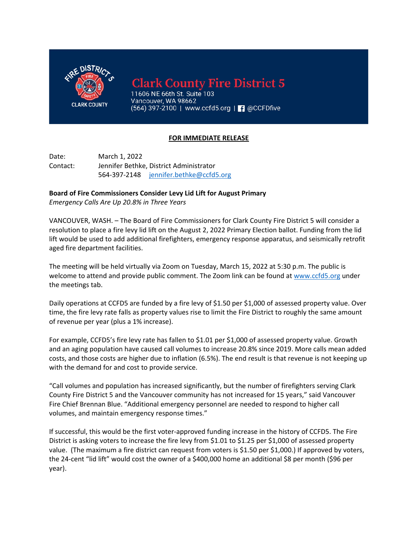

**Clark County Fire District 5** 

11606 NE 66th St. Suite 103 Vancouver, WA 98662 (564) 397-2100 | www.ccfd5.org | | 0 @CCFDfive

## **FOR IMMEDIATE RELEASE**

Date: March 1, 2022 Contact: Jennifer Bethke, District Administrator 564-397-2148 jennifer.bethke@ccfd5.org

## **Board of Fire Commissioners Consider Levy Lid Lift for August Primary**

*Emergency Calls Are Up 20.8% in Three Years* 

VANCOUVER, WASH. – The Board of Fire Commissioners for Clark County Fire District 5 will consider a resolution to place a fire levy lid lift on the August 2, 2022 Primary Election ballot. Funding from the lid lift would be used to add additional firefighters, emergency response apparatus, and seismically retrofit aged fire department facilities.

The meeting will be held virtually via Zoom on Tuesday, March 15, 2022 at 5:30 p.m. The public is welcome to attend and provide public comment. The Zoom link can be found at www.ccfd5.org under the meetings tab.

Daily operations at CCFD5 are funded by a fire levy of \$1.50 per \$1,000 of assessed property value. Over time, the fire levy rate falls as property values rise to limit the Fire District to roughly the same amount of revenue per year (plus a 1% increase).

For example, CCFD5's fire levy rate has fallen to \$1.01 per \$1,000 of assessed property value. Growth and an aging population have caused call volumes to increase 20.8% since 2019. More calls mean added costs, and those costs are higher due to inflation (6.5%). The end result is that revenue is not keeping up with the demand for and cost to provide service.

"Call volumes and population has increased significantly, but the number of firefighters serving Clark County Fire District 5 and the Vancouver community has not increased for 15 years," said Vancouver Fire Chief Brennan Blue. "Additional emergency personnel are needed to respond to higher call volumes, and maintain emergency response times."

If successful, this would be the first voter-approved funding increase in the history of CCFD5. The Fire District is asking voters to increase the fire levy from \$1.01 to \$1.25 per \$1,000 of assessed property value. (The maximum a fire district can request from voters is \$1.50 per \$1,000.) If approved by voters, the 24-cent "lid lift" would cost the owner of a \$400,000 home an additional \$8 per month (\$96 per year).